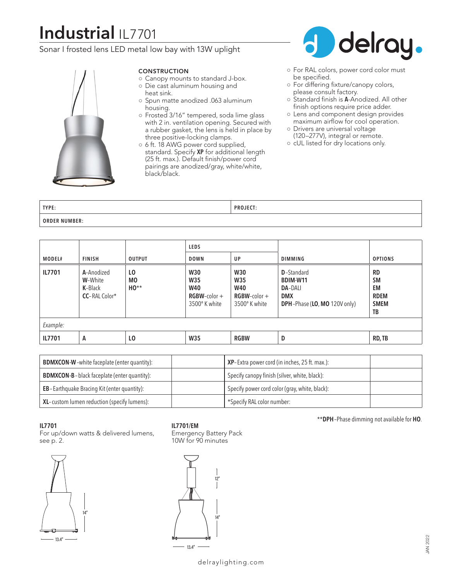# **Industrial** IL7701

## Sonar I frosted lens LED metal low bay with 13W uplight



#### CONSTRUCTION

- Canopy mounts to standard J-box. ○ Die cast aluminum housing and
- heat sink.
- Spun matte anodized .063 aluminum housing.
- Frosted 3/16" tempered, soda lime glass with 2 in. ventilation opening. Secured with a rubber gasket, the lens is held in place by three positive-locking clamps.
- 6 ft. 18 AWG power cord supplied, standard. Specify **XP** for additional length (25 ft. max.). Default finish/power cord pairings are anodized/gray, white/white, black/black.



- For RAL colors, power cord color must be specified.
- For differing fixture/canopy colors, please consult factory.
- Standard finish is **A**-Anodized. All other finish options require price adder.
- Lens and component design provides maximum airflow for cool operation.
- Drivers are universal voltage (120–277V), integral or remote.
- cUL listed for dry locations only.

| TYPE:                   | - --<br>DD <sub>1</sub> |  |
|-------------------------|-------------------------|--|
| <b>ORDER</b><br>NUMBER: |                         |  |

|          |                                                          |                            | <b>LEDS</b>                                                                |                                                                              |                                                                                                |                                                                  |
|----------|----------------------------------------------------------|----------------------------|----------------------------------------------------------------------------|------------------------------------------------------------------------------|------------------------------------------------------------------------------------------------|------------------------------------------------------------------|
| MODEL#   | <b>FINISH</b>                                            | <b>OUTPUT</b>              | <b>DOWN</b>                                                                | UP                                                                           | <b>DIMMING</b>                                                                                 | <b>OPTIONS</b>                                                   |
| IL7701   | A-Anodized<br>W-White<br>K-Black<br><b>CC-RAL Color*</b> | LO.<br><b>MO</b><br>$HO**$ | <b>W30</b><br><b>W35</b><br><b>W40</b><br>$RGBW$ -color +<br>3500° K white | <b>W30</b><br><b>W35</b><br><b>W40</b><br>$RGBW$ -color $+$<br>3500° K white | <b>D</b> -Standard<br>BDIM-W11<br><b>DA-DALI</b><br><b>DMX</b><br>DPH-Phase (LO, MO 120V only) | <b>RD</b><br><b>SM</b><br>EM<br><b>RDEM</b><br><b>SMEM</b><br>TB |
| Example: |                                                          |                            |                                                                            |                                                                              |                                                                                                |                                                                  |
| IL7701   | A                                                        | L <sub>0</sub>             | W35                                                                        | <b>RGBW</b>                                                                  | D                                                                                              | RD, TB                                                           |

| <b>BDMXCON-W</b> -white faceplate (enter quantity): | <b>XP</b> -Extra power cord (in inches, 25 ft. max.): |
|-----------------------------------------------------|-------------------------------------------------------|
| <b>BDMXCON-B-black faceplate (enter quantity):</b>  | Specify canopy finish (silver, white, black):         |
| <b>EB-Earthquake Bracing Kit (enter quantity):</b>  | Specify power cord color (gray, white, black):        |
| XL-custom lumen reduction (specify lumens):         | *Specify RAL color number:                            |

#### **IL7701**

For up/down watts & delivered lumens, see p. 2.



### **IL7701/EM**

Emergency Battery Pack 10W for 90 minutes



#### \*\***DPH**–Phase dimming not available for **HO**.